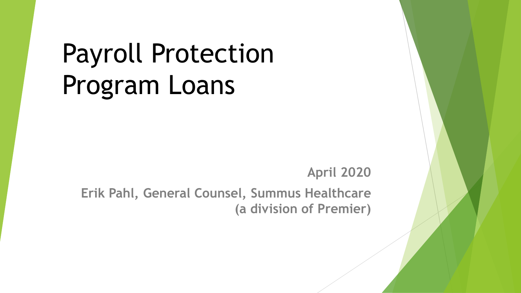# Payroll Protection Program Loans

**April 2020**

**Erik Pahl, General Counsel, Summus Healthcare (a division of Premier)**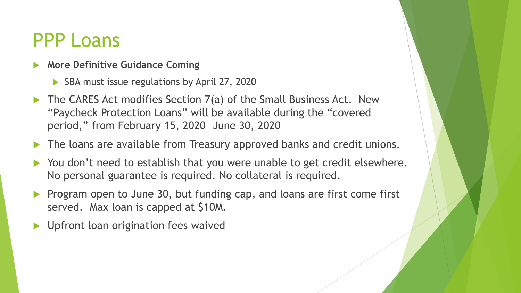#### **More Definitive Guidance Coming**

- ▶ SBA must issue regulations by April 27, 2020
- The CARES Act modifies Section 7(a) of the Small Business Act. New "Paycheck Protection Loans" will be available during the "covered period," from February 15, 2020 –June 30, 2020
- ▶ The loans are available from Treasury approved banks and credit unions.
- You don't need to establish that you were unable to get credit elsewhere. No personal guarantee is required. No collateral is required.
- Program open to June 30, but funding cap, and loans are first come first served. Max loan is capped at \$10M.
- **Demontation Seeps** Vaived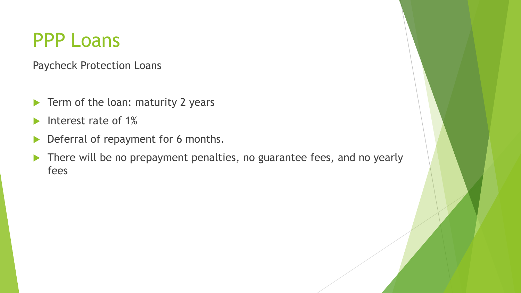Paycheck Protection Loans

- $\blacktriangleright$  Term of the loan: maturity 2 years
- Interest rate of 1%
- Deferral of repayment for 6 months.
- There will be no prepayment penalties, no guarantee fees, and no yearly fees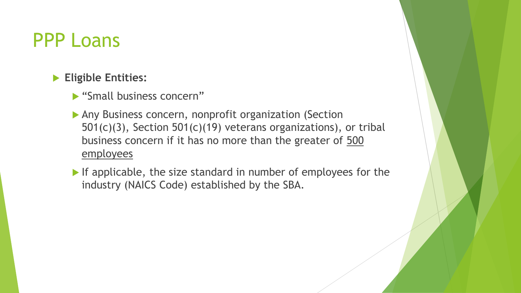### **Eligible Entities:**

- "Small business concern"
- Any Business concern, nonprofit organization (Section 501(c)(3), Section 501(c)(19) veterans organizations), or tribal business concern if it has no more than the greater of 500 employees
- If applicable, the size standard in number of employees for the industry (NAICS Code) established by the SBA.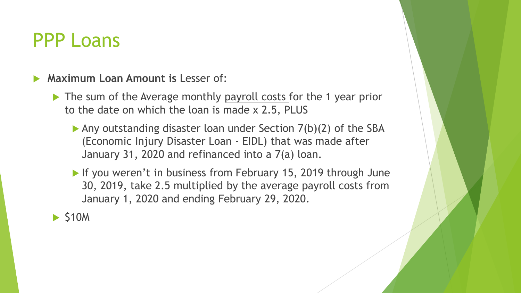**Maximum Loan Amount is** Lesser of:

- The sum of the Average monthly payroll costs for the 1 year prior to the date on which the loan is made x 2.5, PLUS
	- Any outstanding disaster loan under Section 7(b)(2) of the SBA (Economic Injury Disaster Loan - EIDL) that was made after January 31, 2020 and refinanced into a 7(a) loan.
	- If you weren't in business from February 15, 2019 through June 30, 2019, take 2.5 multiplied by the average payroll costs from January 1, 2020 and ending February 29, 2020.

 $\blacktriangleright$  \$10M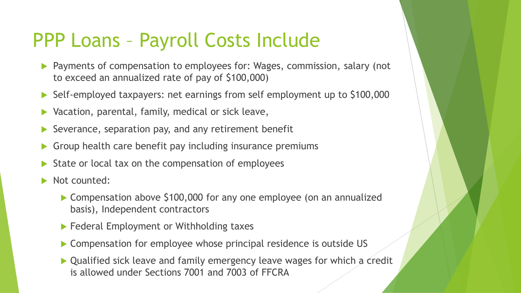# PPP Loans – Payroll Costs Include

- Payments of compensation to employees for: Wages, commission, salary (not to exceed an annualized rate of pay of \$100,000)
- Self-employed taxpayers: net earnings from self employment up to \$100,000
- Vacation, parental, family, medical or sick leave,
- Severance, separation pay, and any retirement benefit
- Group health care benefit pay including insurance premiums
- State or local tax on the compensation of employees
- Not counted:
	- ▶ Compensation above \$100,000 for any one employee (on an annualized basis), Independent contractors
	- **Federal Employment or Withholding taxes**
	- ▶ Compensation for employee whose principal residence is outside US
	- ▶ Qualified sick leave and family emergency leave wages for which a credit is allowed under Sections 7001 and 7003 of FFCRA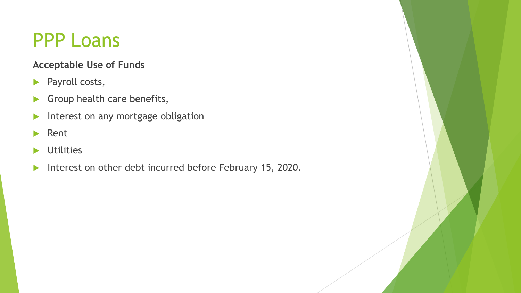#### **Acceptable Use of Funds**

- Payroll costs,
- Group health care benefits,
- Interest on any mortgage obligation
- **Rent**
- **D** Utilities
- Interest on other debt incurred before February 15, 2020.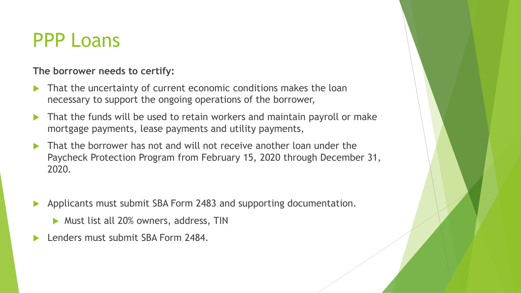#### **The borrower needs to certify:**

- That the uncertainty of current economic conditions makes the loan necessary to support the ongoing operations of the borrower,
- That the funds will be used to retain workers and maintain payroll or make mortgage payments, lease payments and utility payments,
- That the borrower has not and will not receive another loan under the Paycheck Protection Program from February 15, 2020 through December 31, 2020.
- Applicants must submit SBA Form 2483 and supporting documentation.
	- ▶ Must list all 20% owners, address, TIN
- Lenders must submit SBA Form 2484.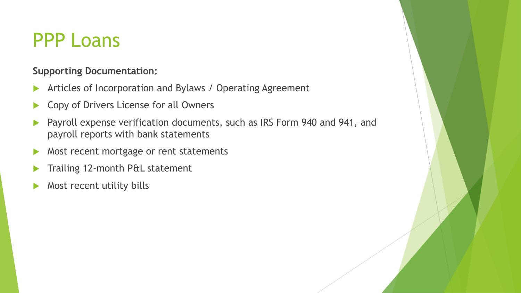#### **Supporting Documentation:**

- **Articles of Incorporation and Bylaws / Operating Agreement**
- Copy of Drivers License for all Owners
- Payroll expense verification documents, such as IRS Form 940 and 941, and payroll reports with bank statements
- Most recent mortgage or rent statements
- Trailing 12-month P&L statement
- Most recent utility bills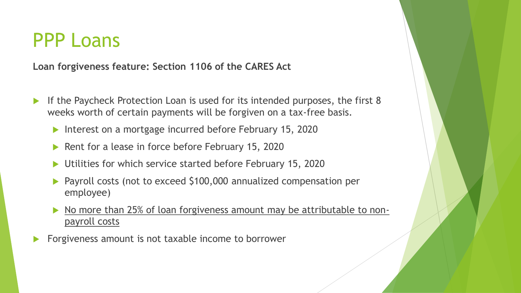**Loan forgiveness feature: Section 1106 of the CARES Act**

- If the Paycheck Protection Loan is used for its intended purposes, the first 8 weeks worth of certain payments will be forgiven on a tax-free basis.
	- Interest on a mortgage incurred before February 15, 2020
	- Rent for a lease in force before February 15, 2020
	- ▶ Utilities for which service started before February 15, 2020
	- ▶ Payroll costs (not to exceed \$100,000 annualized compensation per employee)
	- No more than 25% of loan forgiveness amount may be attributable to nonpayroll costs
- Forgiveness amount is not taxable income to borrower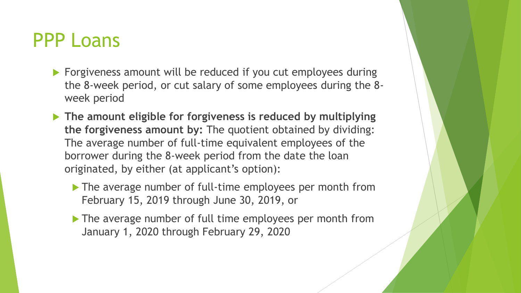- **Forgiveness amount will be reduced if you cut employees during** the 8-week period, or cut salary of some employees during the 8 week period
- **The amount eligible for forgiveness is reduced by multiplying the forgiveness amount by:** The quotient obtained by dividing: The average number of full-time equivalent employees of the borrower during the 8-week period from the date the loan originated, by either (at applicant's option):
	- The average number of full-time employees per month from February 15, 2019 through June 30, 2019, or
	- The average number of full time employees per month from January 1, 2020 through February 29, 2020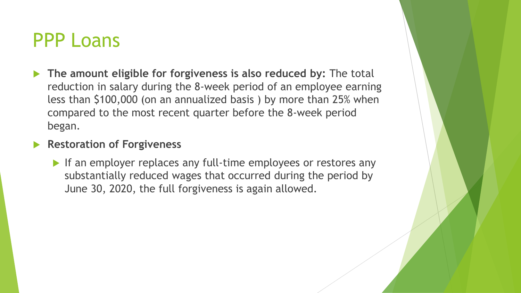**The amount eligible for forgiveness is also reduced by:** The total reduction in salary during the 8-week period of an employee earning less than \$100,000 (on an annualized basis ) by more than 25% when compared to the most recent quarter before the 8-week period began.

#### **Restoration of Forgiveness**

If an employer replaces any full-time employees or restores any substantially reduced wages that occurred during the period by June 30, 2020, the full forgiveness is again allowed.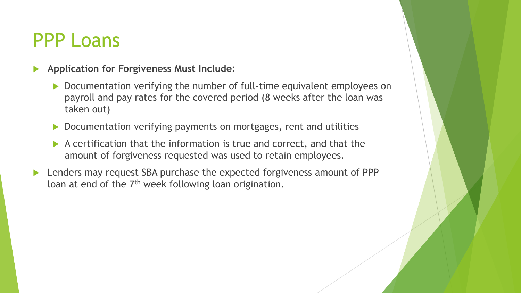- **Application for Forgiveness Must Include:**
	- ▶ Documentation verifying the number of full-time equivalent employees on payroll and pay rates for the covered period (8 weeks after the loan was taken out)
	- ▶ Documentation verifying payments on mortgages, rent and utilities
	- $\blacktriangleright$  A certification that the information is true and correct, and that the amount of forgiveness requested was used to retain employees.
- Lenders may request SBA purchase the expected forgiveness amount of PPP loan at end of the 7<sup>th</sup> week following loan origination.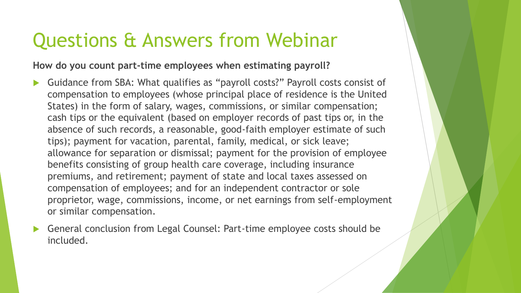# Questions & Answers from Webinar

#### **How do you count part-time employees when estimating payroll?**

- Guidance from SBA: What qualifies as "payroll costs?" Payroll costs consist of compensation to employees (whose principal place of residence is the United States) in the form of salary, wages, commissions, or similar compensation; cash tips or the equivalent (based on employer records of past tips or, in the absence of such records, a reasonable, good-faith employer estimate of such tips); payment for vacation, parental, family, medical, or sick leave; allowance for separation or dismissal; payment for the provision of employee benefits consisting of group health care coverage, including insurance premiums, and retirement; payment of state and local taxes assessed on compensation of employees; and for an independent contractor or sole proprietor, wage, commissions, income, or net earnings from self-employment or similar compensation.
- General conclusion from Legal Counsel: Part-time employee costs should be included.